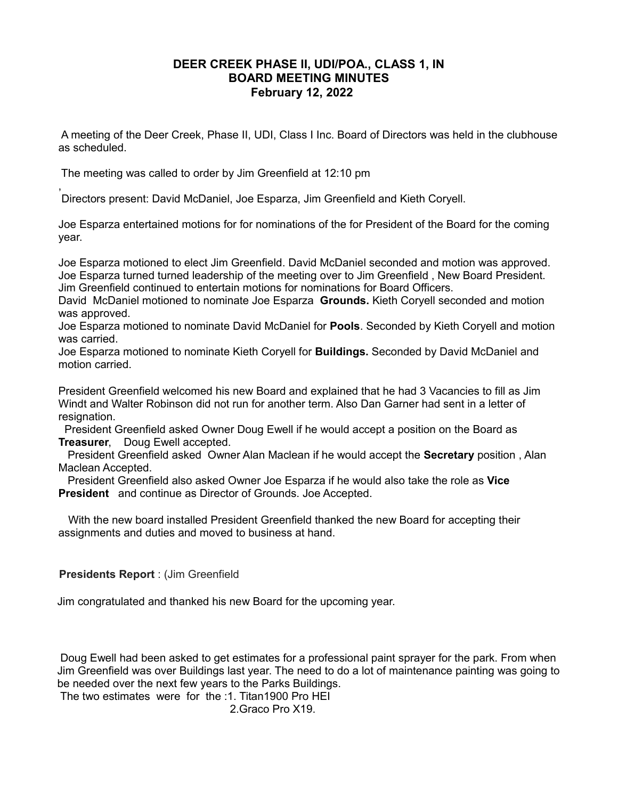## **DEER CREEK PHASE II, UDI/POA., CLASS 1, IN BOARD MEETING MINUTES February 12, 2022**

A meeting of the Deer Creek, Phase II, UDI, Class I Inc. Board of Directors was held in the clubhouse as scheduled.

The meeting was called to order by Jim Greenfield at 12:10 pm

,

Directors present: David McDaniel, Joe Esparza, Jim Greenfield and Kieth Coryell.

Joe Esparza entertained motions for for nominations of the for President of the Board for the coming year.

Joe Esparza motioned to elect Jim Greenfield. David McDaniel seconded and motion was approved. Joe Esparza turned turned leadership of the meeting over to Jim Greenfield , New Board President. Jim Greenfield continued to entertain motions for nominations for Board Officers.

David McDaniel motioned to nominate Joe Esparza **Grounds.** Kieth Coryell seconded and motion was approved.

Joe Esparza motioned to nominate David McDaniel for **Pools**. Seconded by Kieth Coryell and motion was carried.

Joe Esparza motioned to nominate Kieth Coryell for **Buildings.** Seconded by David McDaniel and motion carried.

President Greenfield welcomed his new Board and explained that he had 3 Vacancies to fill as Jim Windt and Walter Robinson did not run for another term. Also Dan Garner had sent in a letter of resignation.

 President Greenfield asked Owner Doug Ewell if he would accept a position on the Board as **Treasurer**, Doug Ewell accepted.

 President Greenfield asked Owner Alan Maclean if he would accept the **Secretary** position , Alan Maclean Accepted.

 President Greenfield also asked Owner Joe Esparza if he would also take the role as **Vice President** and continue as Director of Grounds. Joe Accepted.

 With the new board installed President Greenfield thanked the new Board for accepting their assignments and duties and moved to business at hand.

## **Presidents Report** : (Jim Greenfield

Jim congratulated and thanked his new Board for the upcoming year.

 Doug Ewell had been asked to get estimates for a professional paint sprayer for the park. From when Jim Greenfield was over Buildings last year. The need to do a lot of maintenance painting was going to be needed over the next few years to the Parks Buildings.

The two estimates were for the :1. Titan1900 Pro HEI

2.Graco Pro X19.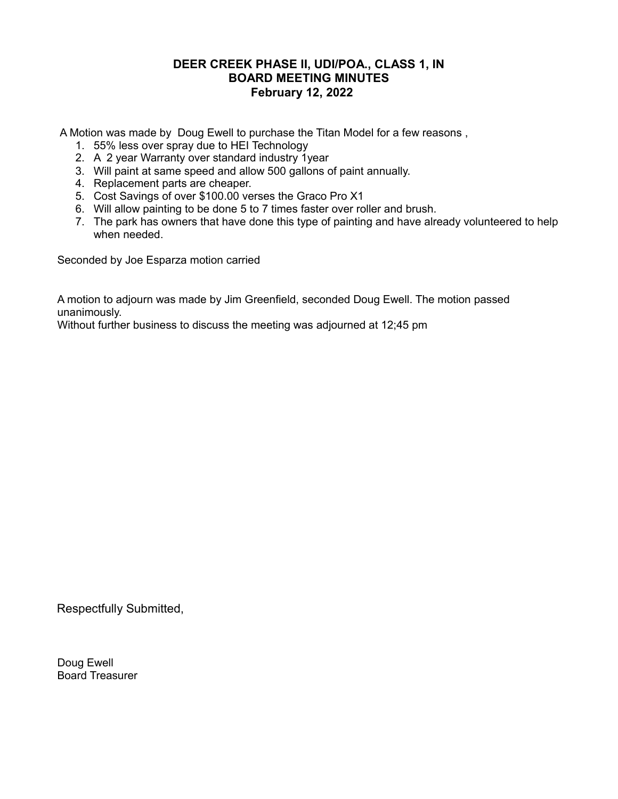## **DEER CREEK PHASE II, UDI/POA., CLASS 1, IN BOARD MEETING MINUTES February 12, 2022**

A Motion was made by Doug Ewell to purchase the Titan Model for a few reasons ,

- 1. 55% less over spray due to HEI Technology
- 2. A 2 year Warranty over standard industry 1year
- 3. Will paint at same speed and allow 500 gallons of paint annually.
- 4. Replacement parts are cheaper.
- 5. Cost Savings of over \$100.00 verses the Graco Pro X1
- 6. Will allow painting to be done 5 to 7 times faster over roller and brush.
- 7. The park has owners that have done this type of painting and have already volunteered to help when needed.

Seconded by Joe Esparza motion carried

A motion to adjourn was made by Jim Greenfield, seconded Doug Ewell. The motion passed unanimously.

Without further business to discuss the meeting was adjourned at 12;45 pm

Respectfully Submitted,

Doug Ewell Board Treasurer